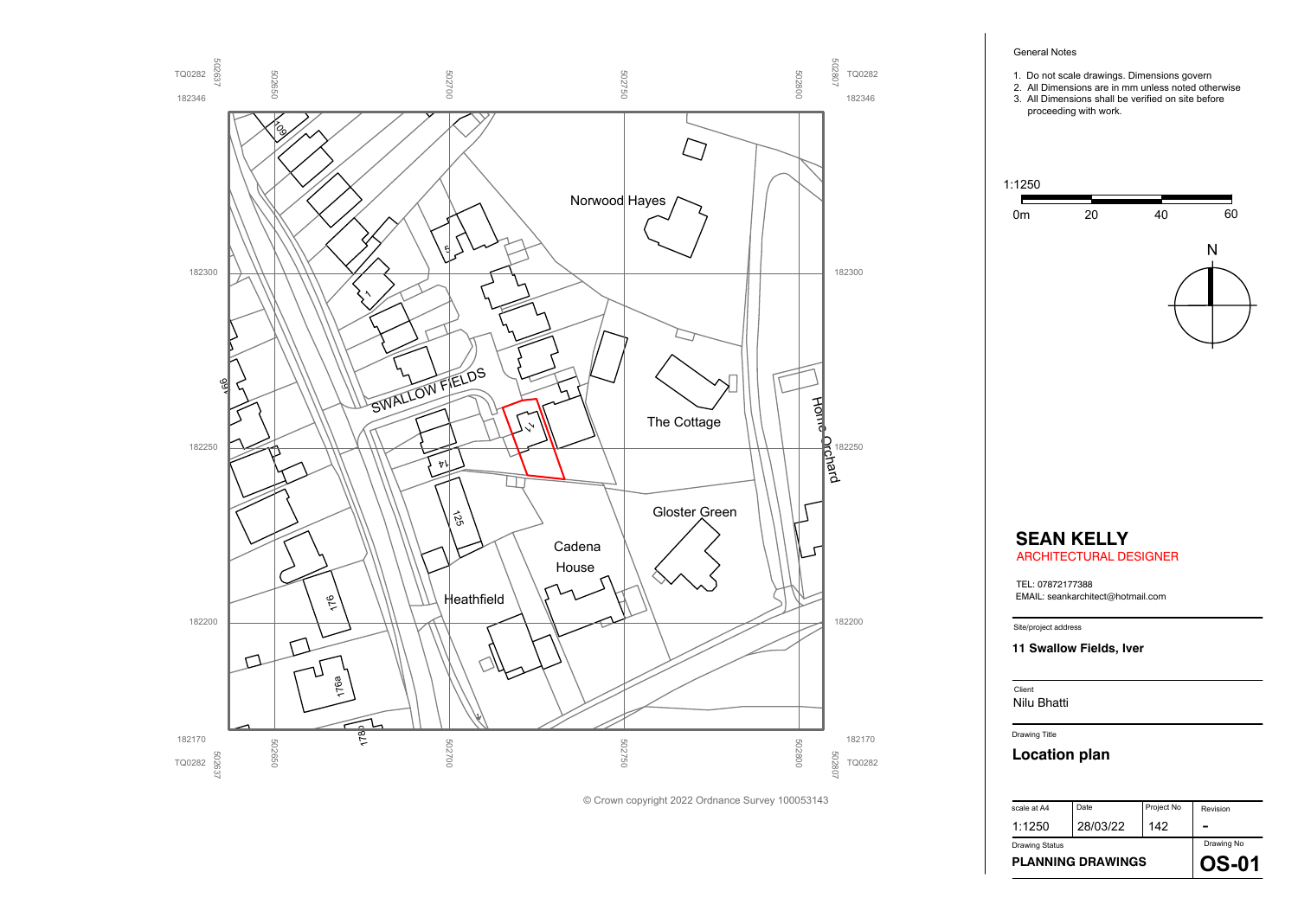

© Crown copyright 2022 Ordnance Survey 100053143

### General Notes

# 1. Do not scale drawings. Dimensions govern 2. All Dimensions are in mm unless noted otherwise

3. All Dimensions shall be verified on site before proceeding with work.



# **SEAN KELLY**<br>ARCHITECTURAL DESIGNER<br>TEL: 07872177388<br>EMAIL: seankarchitect@hotmail.com<br>ASite/project address<br>11 Swallow Fields, Iver<br>Client ARCHITECTURAL DESIGNER

TEL: 07872177388 EMAIL: seankarchitect@hotmail.com

### Site/project address

**11 Swallow Fields, Iver**

Nilu Bhatti

Drawing Title

## **Location plan**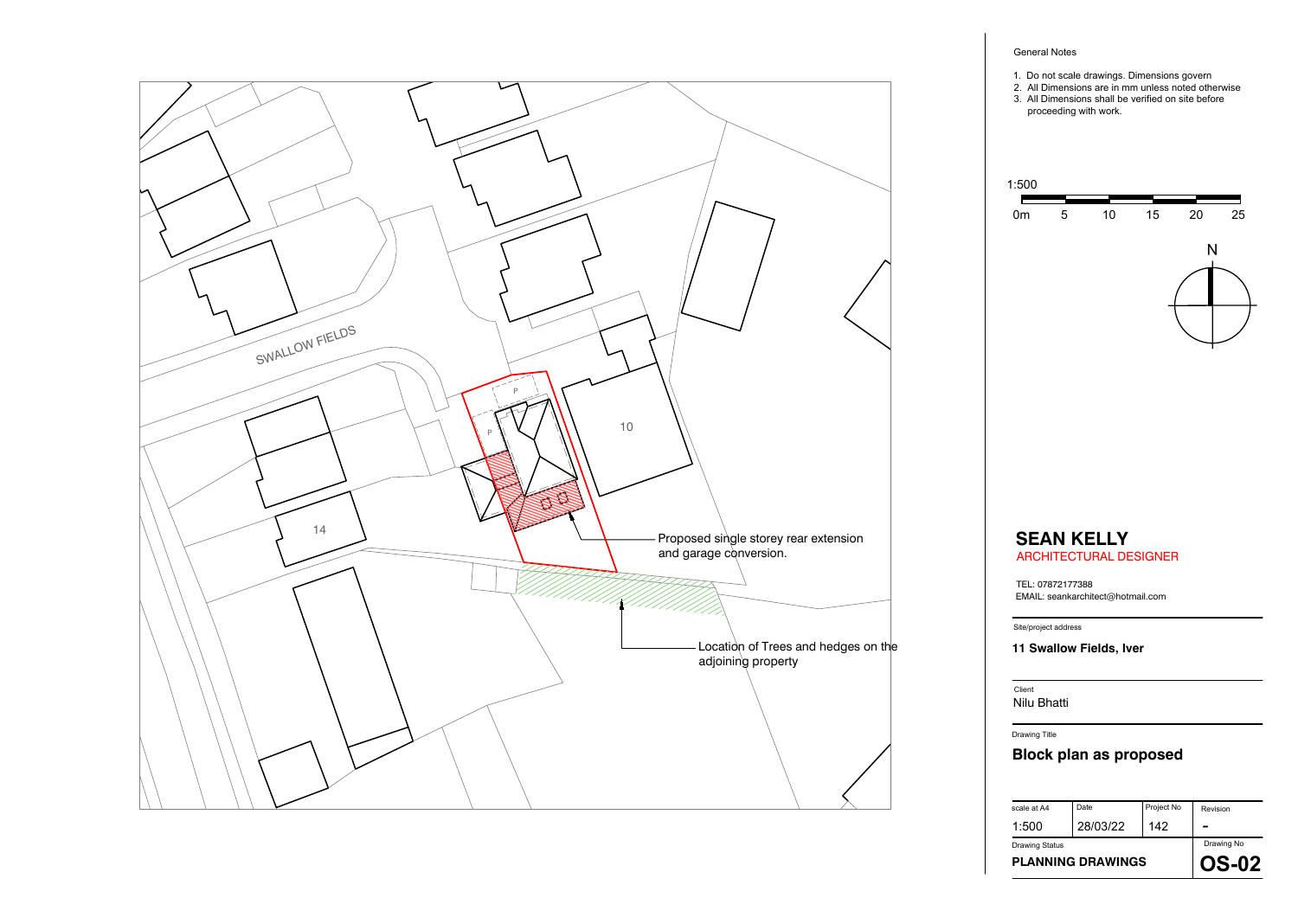

#### General Notes

## 1. Do not scale drawings. Dimensions govern 2. All Dimensions are in mm unless noted otherwise

3. All Dimensions shall be verified on site before proceeding with work.



# **SEAN KELLY**<br>ARCHITECTURAL DESIGNER<br>TEL: 07872177388<br>EMAIL: seankarchitect@hotmail.com<br>ASite/project address<br>11 Swallow Fields, Iver<br>Client ARCHITECTURAL DESIGNER

TEL: 07872177388 EMAIL: seankarchitect@hotmail.com

Site/project address

**11 Swallow Fields, Iver**

Nilu Bhatti

Drawing Title

**Block plan as proposed**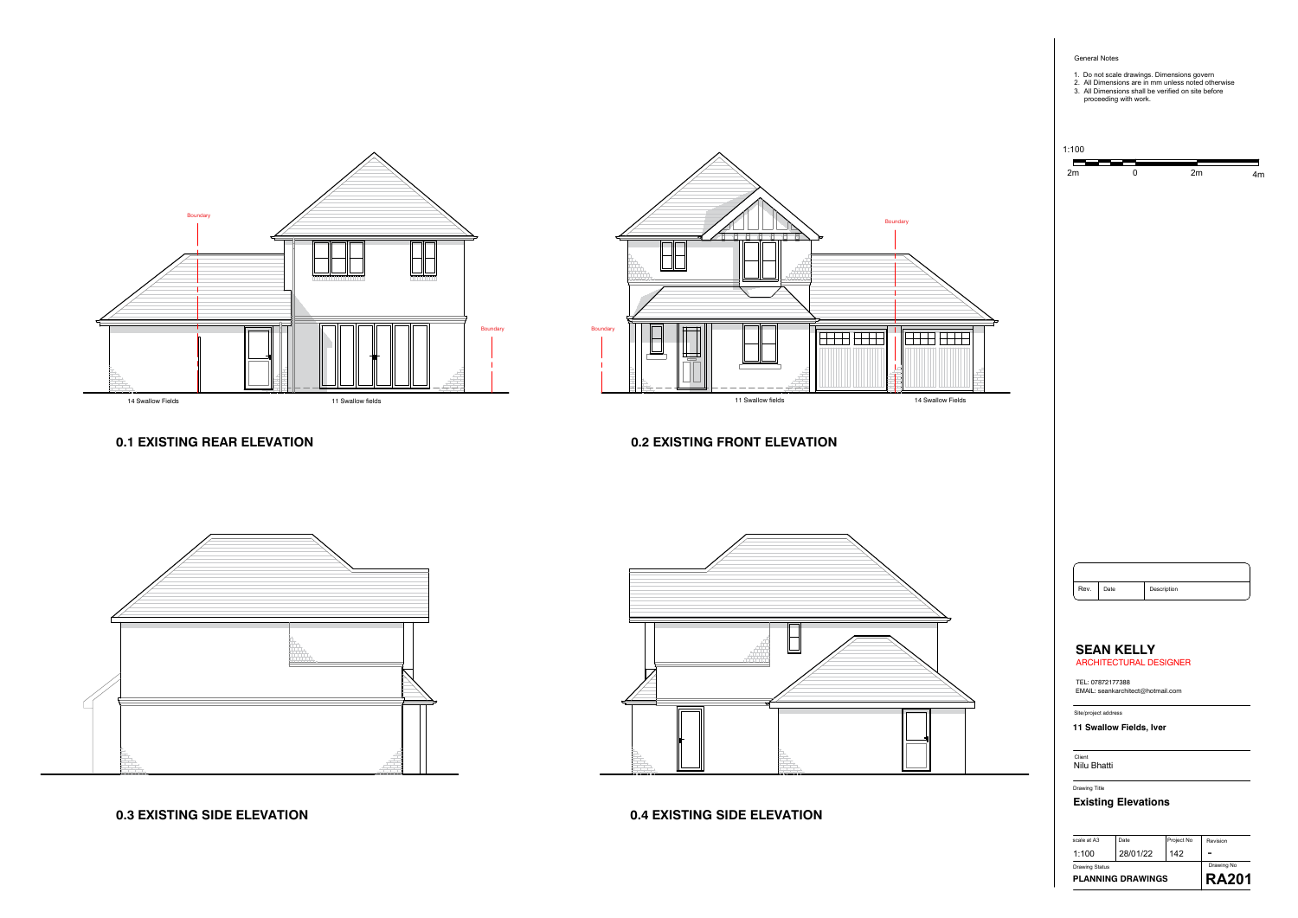General Notes



- 
- 1. Do not scale drawings. Dimensions govern 2. All Dimensions are in mm unless noted otherwise 3. All Dimensions shall be verified on site before
- proceeding with work.

 **RA201**

**PLANNING DRAWINGS**

**0.1 EXISTING REAR ELEVATION 0.2 EXISTING FRONT ELEVATION**





**0.3 EXISTING SIDE ELEVATION 0.4 EXISTING SIDE ELEVATION**